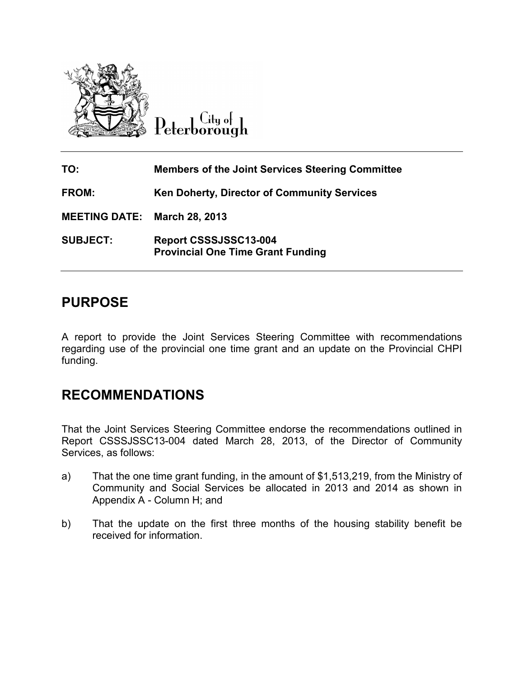

 $C$ ity of Peterborough

| TO:                                 | <b>Members of the Joint Services Steering Committee</b>           |
|-------------------------------------|-------------------------------------------------------------------|
| <b>FROM:</b>                        | Ken Doherty, Director of Community Services                       |
| <b>MEETING DATE: March 28, 2013</b> |                                                                   |
| <b>SUBJECT:</b>                     | Report CSSSJSSC13-004<br><b>Provincial One Time Grant Funding</b> |

### **PURPOSE**

A report to provide the Joint Services Steering Committee with recommendations regarding use of the provincial one time grant and an update on the Provincial CHPI funding.

## **RECOMMENDATIONS**

That the Joint Services Steering Committee endorse the recommendations outlined in Report CSSSJSSC13-004 dated March 28, 2013, of the Director of Community Services, as follows:

- a) That the one time grant funding, in the amount of \$1,513,219, from the Ministry of Community and Social Services be allocated in 2013 and 2014 as shown in Appendix A - Column H; and
- b) That the update on the first three months of the housing stability benefit be received for information.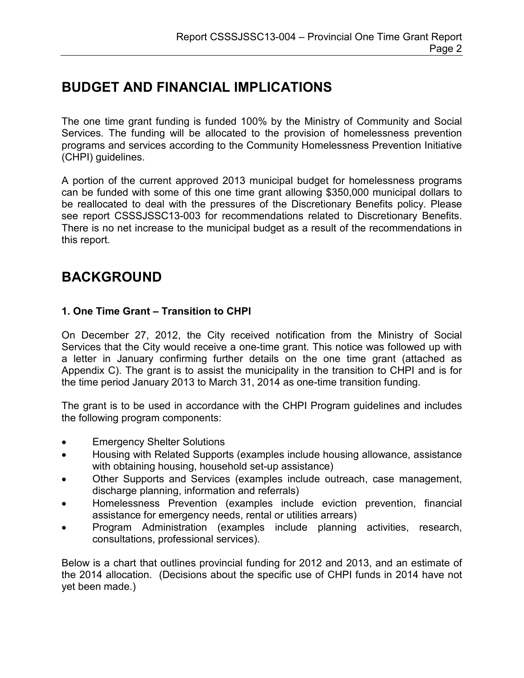# **BUDGET AND FINANCIAL IMPLICATIONS**

The one time grant funding is funded 100% by the Ministry of Community and Social Services. The funding will be allocated to the provision of homelessness prevention programs and services according to the Community Homelessness Prevention Initiative (CHPI) guidelines.

A portion of the current approved 2013 municipal budget for homelessness programs can be funded with some of this one time grant allowing \$350,000 municipal dollars to be reallocated to deal with the pressures of the Discretionary Benefits policy. Please see report CSSSJSSC13-003 for recommendations related to Discretionary Benefits. There is no net increase to the municipal budget as a result of the recommendations in this report.

## **BACKGROUND**

### **1. One Time Grant – Transition to CHPI**

On December 27, 2012, the City received notification from the Ministry of Social Services that the City would receive a one-time grant. This notice was followed up with a letter in January confirming further details on the one time grant (attached as Appendix C). The grant is to assist the municipality in the transition to CHPI and is for the time period January 2013 to March 31, 2014 as one-time transition funding.

The grant is to be used in accordance with the CHPI Program guidelines and includes the following program components:

- Emergency Shelter Solutions
- Housing with Related Supports (examples include housing allowance, assistance with obtaining housing, household set-up assistance)
- Other Supports and Services (examples include outreach, case management, discharge planning, information and referrals)
- Homelessness Prevention (examples include eviction prevention, financial assistance for emergency needs, rental or utilities arrears)
- Program Administration (examples include planning activities, research, consultations, professional services).

Below is a chart that outlines provincial funding for 2012 and 2013, and an estimate of the 2014 allocation. (Decisions about the specific use of CHPI funds in 2014 have not yet been made.)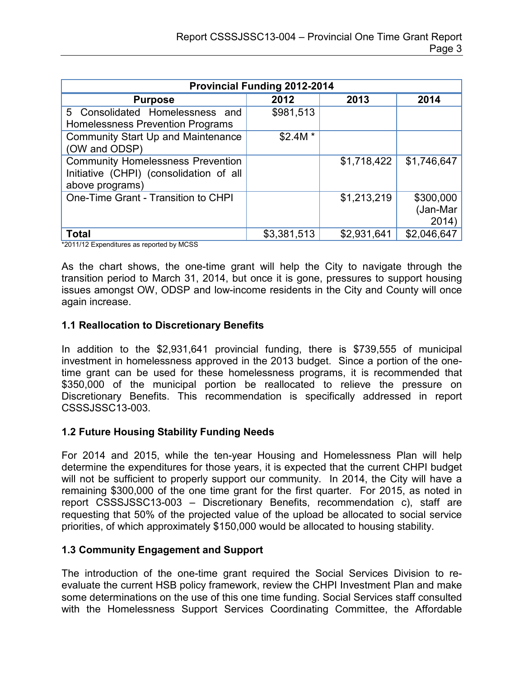| <b>Provincial Funding 2012-2014</b>                                                                    |             |             |                                |  |  |  |  |
|--------------------------------------------------------------------------------------------------------|-------------|-------------|--------------------------------|--|--|--|--|
| <b>Purpose</b>                                                                                         | 2012        | 2013        | 2014                           |  |  |  |  |
| 5 Consolidated Homelessness and<br>Homelessness Prevention Programs                                    | \$981,513   |             |                                |  |  |  |  |
| <b>Community Start Up and Maintenance</b><br>(OW and ODSP)                                             | $$2.4M*$    |             |                                |  |  |  |  |
| <b>Community Homelessness Prevention</b><br>Initiative (CHPI) (consolidation of all<br>above programs) |             | \$1,718,422 | \$1,746,647                    |  |  |  |  |
| One-Time Grant - Transition to CHPI                                                                    |             | \$1,213,219 | \$300,000<br>(Jan-Mar<br>2014) |  |  |  |  |
| <b>Total</b>                                                                                           | \$3,381,513 | \$2,931,641 | \$2,046,647                    |  |  |  |  |

\*2011/12 Expenditures as reported by MCSS

As the chart shows, the one-time grant will help the City to navigate through the transition period to March 31, 2014, but once it is gone, pressures to support housing issues amongst OW, ODSP and low-income residents in the City and County will once again increase.

#### **1.1 Reallocation to Discretionary Benefits**

In addition to the \$2,931,641 provincial funding, there is \$739,555 of municipal investment in homelessness approved in the 2013 budget. Since a portion of the onetime grant can be used for these homelessness programs, it is recommended that \$350,000 of the municipal portion be reallocated to relieve the pressure on Discretionary Benefits. This recommendation is specifically addressed in report CSSSJSSC13-003.

#### **1.2 Future Housing Stability Funding Needs**

For 2014 and 2015, while the ten-year Housing and Homelessness Plan will help determine the expenditures for those years, it is expected that the current CHPI budget will not be sufficient to properly support our community. In 2014, the City will have a remaining \$300,000 of the one time grant for the first quarter. For 2015, as noted in report CSSSJSSC13-003 – Discretionary Benefits, recommendation c), staff are requesting that 50% of the projected value of the upload be allocated to social service priorities, of which approximately \$150,000 would be allocated to housing stability.

#### **1.3 Community Engagement and Support**

The introduction of the one-time grant required the Social Services Division to reevaluate the current HSB policy framework, review the CHPI Investment Plan and make some determinations on the use of this one time funding. Social Services staff consulted with the Homelessness Support Services Coordinating Committee, the Affordable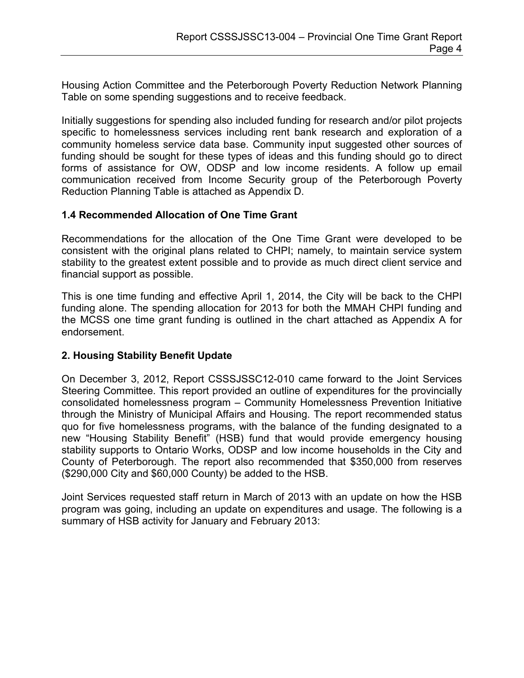Housing Action Committee and the Peterborough Poverty Reduction Network Planning Table on some spending suggestions and to receive feedback.

Initially suggestions for spending also included funding for research and/or pilot projects specific to homelessness services including rent bank research and exploration of a community homeless service data base. Community input suggested other sources of funding should be sought for these types of ideas and this funding should go to direct forms of assistance for OW, ODSP and low income residents. A follow up email communication received from Income Security group of the Peterborough Poverty Reduction Planning Table is attached as Appendix D.

#### **1.4 Recommended Allocation of One Time Grant**

Recommendations for the allocation of the One Time Grant were developed to be consistent with the original plans related to CHPI; namely, to maintain service system stability to the greatest extent possible and to provide as much direct client service and financial support as possible.

This is one time funding and effective April 1, 2014, the City will be back to the CHPI funding alone. The spending allocation for 2013 for both the MMAH CHPI funding and the MCSS one time grant funding is outlined in the chart attached as Appendix A for endorsement.

### **2. Housing Stability Benefit Update**

On December 3, 2012, Report CSSSJSSC12-010 came forward to the Joint Services Steering Committee. This report provided an outline of expenditures for the provincially consolidated homelessness program – Community Homelessness Prevention Initiative through the Ministry of Municipal Affairs and Housing. The report recommended status quo for five homelessness programs, with the balance of the funding designated to a new "Housing Stability Benefit" (HSB) fund that would provide emergency housing stability supports to Ontario Works, ODSP and low income households in the City and County of Peterborough. The report also recommended that \$350,000 from reserves (\$290,000 City and \$60,000 County) be added to the HSB.

Joint Services requested staff return in March of 2013 with an update on how the HSB program was going, including an update on expenditures and usage. The following is a summary of HSB activity for January and February 2013: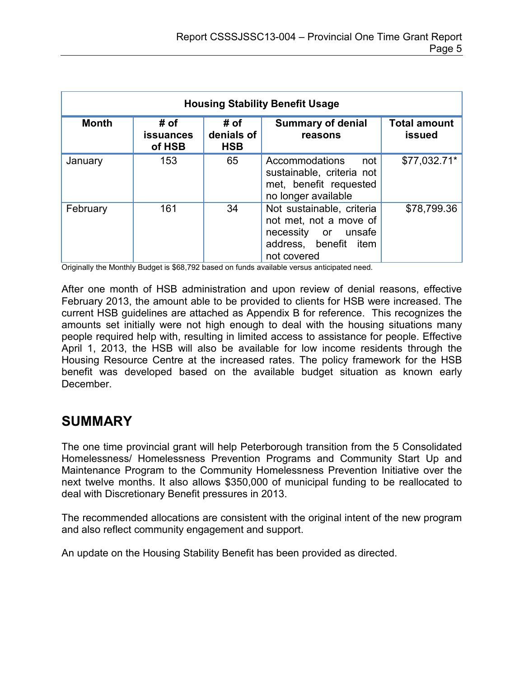| <b>Housing Stability Benefit Usage</b> |                                    |                                  |                                                                                                                    |                                      |  |  |  |
|----------------------------------------|------------------------------------|----------------------------------|--------------------------------------------------------------------------------------------------------------------|--------------------------------------|--|--|--|
| <b>Month</b>                           | # of<br><b>issuances</b><br>of HSB | # of<br>denials of<br><b>HSB</b> | <b>Summary of denial</b><br>reasons                                                                                | <b>Total amount</b><br><b>issued</b> |  |  |  |
| January                                | 153                                | 65                               | Accommodations<br>not<br>sustainable, criteria not<br>met, benefit requested<br>no longer available                | \$77,032.71*                         |  |  |  |
| February                               | 161                                | 34                               | Not sustainable, criteria<br>not met, not a move of<br>necessity or unsafe<br>address, benefit item<br>not covered | \$78,799.36                          |  |  |  |

Originally the Monthly Budget is \$68,792 based on funds available versus anticipated need.

After one month of HSB administration and upon review of denial reasons, effective February 2013, the amount able to be provided to clients for HSB were increased. The current HSB guidelines are attached as Appendix B for reference. This recognizes the amounts set initially were not high enough to deal with the housing situations many people required help with, resulting in limited access to assistance for people. Effective April 1, 2013, the HSB will also be available for low income residents through the Housing Resource Centre at the increased rates. The policy framework for the HSB benefit was developed based on the available budget situation as known early **December** 

## **SUMMARY**

The one time provincial grant will help Peterborough transition from the 5 Consolidated Homelessness/ Homelessness Prevention Programs and Community Start Up and Maintenance Program to the Community Homelessness Prevention Initiative over the next twelve months. It also allows \$350,000 of municipal funding to be reallocated to deal with Discretionary Benefit pressures in 2013.

The recommended allocations are consistent with the original intent of the new program and also reflect community engagement and support.

An update on the Housing Stability Benefit has been provided as directed.